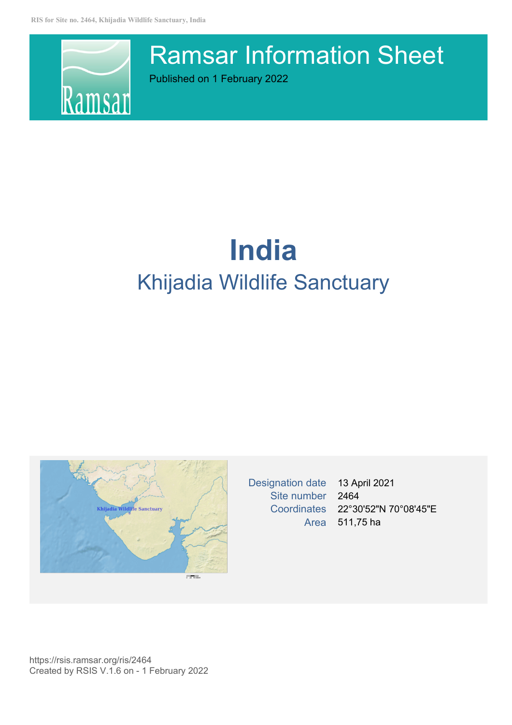

# Ramsar Information Sheet

Published on 1 February 2022

# **India** Khijadia Wildlife Sanctuary



Designation date 13 April 2021 Site number 2464 Coordinates 22°30'52"N 70°08'45"E Area 511,75 ha

https://rsis.ramsar.org/ris/2464 Created by RSIS V.1.6 on - 1 February 2022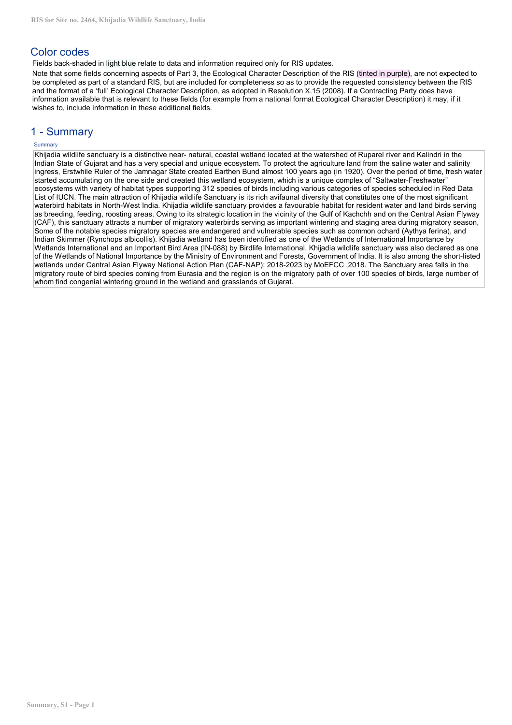# Color codes

Fields back-shaded in light blue relate to data and information required only for RIS updates.

Note that some fields concerning aspects of Part 3, the Ecological Character Description of the RIS (tinted in purple), are not expected to be completed as part of a standard RIS, but are included for completeness so as to provide the requested consistency between the RIS and the format of a 'full' Ecological Character Description, as adopted in Resolution X.15 (2008). If a Contracting Party does have information available that is relevant to these fields (for example from a national format Ecological Character Description) it may, if it wishes to, include information in these additional fields.

# 1 - Summary

# **Summary**

Khijadia wildlife sanctuary is a distinctive near- natural, coastal wetland located at the watershed of Ruparel river and Kalindri in the Indian State of Gujarat and has a very special and unique ecosystem. To protect the agriculture land from the saline water and salinity ingress, Erstwhile Ruler of the Jamnagar State created Earthen Bund almost 100 years ago (in 1920). Over the period of time, fresh water started accumulating on the one side and created this wetland ecosystem, which is a unique complex of"Saltwater-Freshwater" ecosystems with variety of habitat types supporting 312 species of birds including various categories of species scheduled in Red Data List of IUCN. The main attraction of Khijadia wildlife Sanctuary is its rich avifaunal diversity that constitutes one of the most significant waterbird habitats in North-West India. Khijadia wildlife sanctuary provides a favourable habitat for resident water and land birds serving as breeding, feeding, roosting areas. Owing to its strategic location in the vicinity of the Gulf of Kachchh and on the Central Asian Flyway (CAF), this sanctuary attracts a number of migratory waterbirds serving as important wintering and staging area during migratory season, Some of the notable species migratory species are endangered and vulnerable species such as common ochard (Aythya ferina), and Indian Skimmer (Rynchops albicollis). Khijadia wetland has been identified as one of the Wetlands of International Importance by Wetlands International and an Important Bird Area (IN-088) by Birdlife International. Khijadia wildlife sanctuary was also declared as one of the Wetlands of National Importance by the Ministry of Environment and Forests. Government of India. It is also among the short-listed wetlands under Central Asian Flyway National Action Plan (CAF-NAP): 2018-2023 by MoEFCC ,2018. The Sanctuary area falls in the migratory route of bird species coming from Eurasia and the region is on the migratory path of over 100 species of birds, large number of whom find congenial wintering ground in the wetland and grasslands of Gujarat.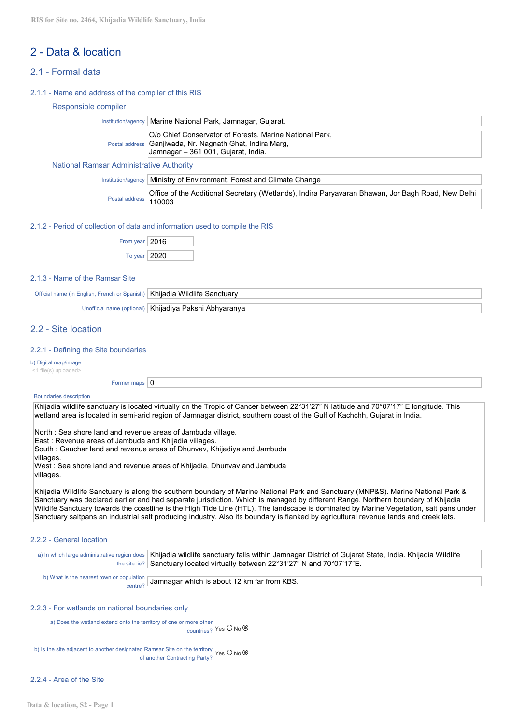# 2 - Data & location

# 2.1 - Formal data

2.1.1 - Name and address of the compiler of this RIS

#### Responsible compiler

# National Ramsar Administrative Authority

|                       | Institution/agency   Ministry of Environment, Forest and Climate Change                           |
|-----------------------|---------------------------------------------------------------------------------------------------|
| Postal address 110003 | Office of the Additional Secretary (Wetlands), Indira Paryavaran Bhawan, Jor Bagh Road, New Delhi |

#### 2.1.2 - Period of collection of data and information used to compile the RIS

| From year   2016 |  |
|------------------|--|
| To year   2020   |  |

# 2.1.3 - Name of the Ramsar Site

| Official name (in English, French or Spanish) | Khiiadia Wildlife Sanctuary                               |
|-----------------------------------------------|-----------------------------------------------------------|
|                                               |                                                           |
|                                               | Unefficial name (entigral)   Khijadiya Dakabi, Abbyaranya |

Unofficial name (optional) | Khijadiya Pakshi Abhyaranya

# 2.2 - Site location

#### 2.2.1 - Defining the Site boundaries

b) Digital map/image

<1 file(s) uploaded>

Former maps  $\boxed{0}$ 

#### Boundaries description

Khijadia wildlife sanctuary is located virtually on the Tropic of Cancer between 22°31'27" N latitude and 70°07'17" E longitude. This wetland area is located in semi-arid region of Jamnagar district, southern coast of the Gulf of Kachchh, Gujarat in India.

North : Sea shore land and revenue areas of Jambuda village.

East : Revenue areas of Jambuda and Khijadia villages.

South : Gauchar land and revenue areas of Dhunvav, Khijadiya and Jambuda

villages.

West : Sea shore land and revenue areas of Khijadia, Dhunvav and Jambuda villages.

Khijadia Wildlife Sanctuary is along the southern boundary of Marine National Park and Sanctuary (MNP&S). Marine National Park & Sanctuary was declared earlier and had separate jurisdiction. Which is managed by different Range. Northern boundary of Khijadia Wildife Sanctuary towards the coastline is the High Tide Line (HTL). The landscape is dominated by Marine Vegetation, salt pans under Sanctuary saltpans an industrial salt producing industry. Also its boundary is flanked by agricultural revenue lands and creek lets.

## 2.2.2 - General location

| a) In which large administrative region does   Khijadia wildlife sanctuary falls within Jamnagar District of Gujarat State, India. Khijadia Wildlife |
|------------------------------------------------------------------------------------------------------------------------------------------------------|
| the site lie? Sanctuary located virtually between $22^{\circ}31'27''$ N and $70^{\circ}07'17''E$ .                                                   |
|                                                                                                                                                      |

b) What is the nearest town or population  $C_{\text{center}}$ <sup>puration</sup> Jamnagar which is about 12 km far from KBS.

#### 2.2.3 - For wetlands on national boundaries only

a) Does the wetland extend onto the territory of one or more other countries? Yes O No O

b) Is the site adjacent to another designated Ramsar Site on the territory  $\Box$ of another Contracting Party? Yes U No  $\bullet$ 

# 2.2.4 - Area of the Site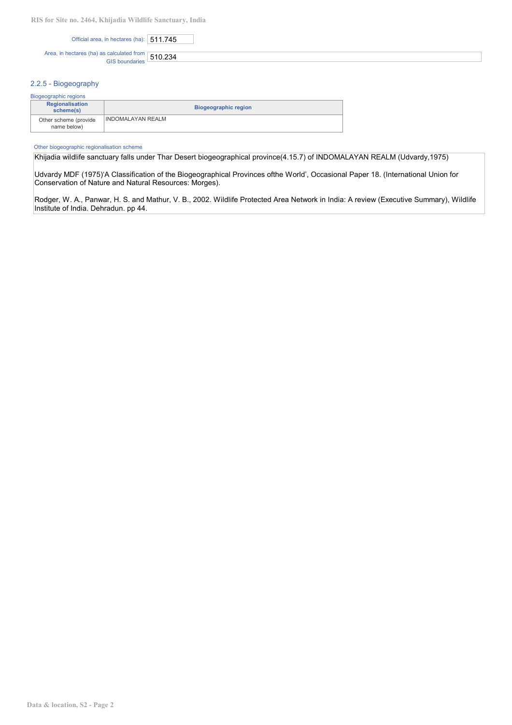| Official area, in hectares (ha): 511.745 |  |
|------------------------------------------|--|
|------------------------------------------|--|

Area, in hectares (ha) as calculated from  $\boxed{510.234}$ 

# 2.2.5 - Biogeography

| Biogeographic regions                |                             |  |
|--------------------------------------|-----------------------------|--|
| Regionalisation<br>scheme(s)         | <b>Biogeographic region</b> |  |
| Other scheme (provide<br>name below) | <b>INDOMALAYAN REALM</b>    |  |

#### Other biogeographic regionalisation scheme

Khijadia wildlife sanctuary falls under Thar Desert biogeographical province(4.15.7) of INDOMALAYAN REALM (Udvardy,1975)

Udvardy MDF (1975)'A Classification of the Biogeographical Provinces ofthe World', Occasional Paper 18. (International Union for Conservation of Nature and Natural Resources: Morges).

Rodger, W. A., Panwar, H. S. and Mathur, V. B., 2002. Wildlife Protected Area Network in India: A review (Executive Summary), Wildlife Institute of India. Dehradun. pp 44.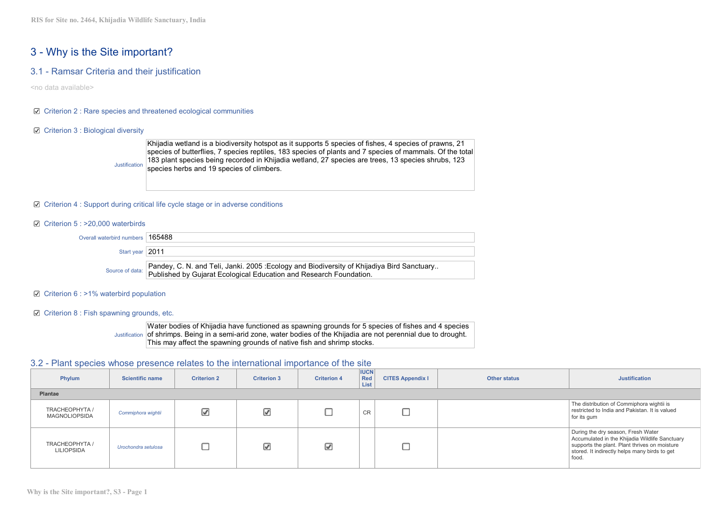# 3 - Why is the Site important?

# 3.1 - Ramsar Criteria and their justification

<no data available>

## $\boxtimes$  Criterion 2 : Rare species and threatened ecological communities

### ■ Criterion 3 : Biological diversity



## $\boxtimes$  Criterion 4 : Support during critical life cycle stage or in adverse conditions

#### $\boxtimes$  Criterion 5 : >20,000 waterbirds

| Overall waterbird numbers $\mid$ 165488 |                                                                                                                                                                                 |
|-----------------------------------------|---------------------------------------------------------------------------------------------------------------------------------------------------------------------------------|
| Start year 2011                         |                                                                                                                                                                                 |
|                                         | Source of data: Pandey, C. N. and Teli, Janki. 2005 :Ecology and Biodiversity of Khijadiya Bird Sanctuary<br>Published by Gujarat Ecological Education and Research Foundation. |

### $\boxtimes$  Criterion 6 : >1% waterbird population

#### Criterion 8 : Fish spawning grounds, etc.

Justification of shrimps. Being in a semi-arid zone, water bodies of the Khijadia are not perennial due to drought. Water bodies of Khijadia have functioned as spawning grounds for 5 species of fishes and 4 species This may affect the spawning grounds of native fish and shrimp stocks.

# 3.2 - Plant species whose presence relates to the international importance of the site

| Phylum                                 | <b>Scientific name</b> | <b>Criterion 2</b>       | <b>Criterion 3</b> | <b>Criterion 4</b> | <b>IUCN</b><br><b>Red</b><br>List | <b>CITES Appendix I</b> | Other status | <b>Justification</b>                                                                                                                                                                            |
|----------------------------------------|------------------------|--------------------------|--------------------|--------------------|-----------------------------------|-------------------------|--------------|-------------------------------------------------------------------------------------------------------------------------------------------------------------------------------------------------|
| Plantae                                |                        |                          |                    |                    |                                   |                         |              |                                                                                                                                                                                                 |
| TRACHEOPHYTA /<br><b>MAGNOLIOPSIDA</b> | Commiphora wightii     | $\overline{\mathcal{L}}$ | ☑                  |                    | <b>CR</b>                         |                         |              | The distribution of Commiphora wightii is<br>restricted to India and Pakistan. It is valued<br>for its gum                                                                                      |
| TRACHEOPHYTA /<br><b>LILIOPSIDA</b>    | Urochondra setulosa    |                          | ⊽                  | ☑                  |                                   |                         |              | During the dry season, Fresh Water<br>Accumulated in the Khijadia Wildlife Sanctuary<br>supports the plant. Plant thrives on moisture<br>stored. It indirectly helps many birds to get<br>food. |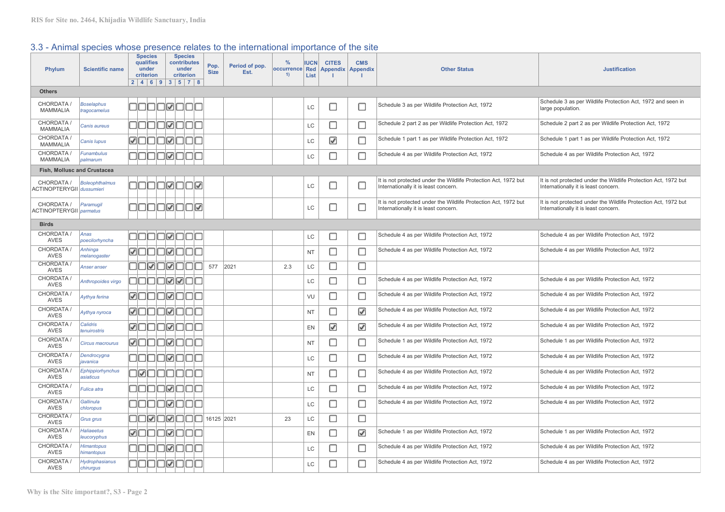# 3.3 - Animal species whose presence relates to the international importance of the site

| <b>Phylum</b>                                  | <b>Scientific name</b>            | <b>Species</b><br>qualifies<br>under<br>criterion | <b>Species</b><br>contributes<br>under<br>criterion<br>2   4   6   9   3   5   7   8 | Pop.<br><b>Size</b> | Period of pop.<br>Est. | %<br>occurrence<br>1) | <b>IUCN</b><br>Red<br>List | <b>CITES</b><br><b>Appendix</b> | <b>CMS</b><br><b>Appendix</b> | <b>Other Status</b>                                                                                     | <b>Justification</b>                                                                                    |
|------------------------------------------------|-----------------------------------|---------------------------------------------------|--------------------------------------------------------------------------------------|---------------------|------------------------|-----------------------|----------------------------|---------------------------------|-------------------------------|---------------------------------------------------------------------------------------------------------|---------------------------------------------------------------------------------------------------------|
| <b>Others</b>                                  |                                   |                                                   |                                                                                      |                     |                        |                       |                            |                                 |                               |                                                                                                         |                                                                                                         |
| CHORDATA /<br><b>MAMMALIA</b>                  | <b>Boselaphus</b><br>tragocamelus |                                                   | 00000000                                                                             |                     |                        |                       | LC                         | □                               | П                             | Schedule 3 as per Wildlife Protection Act, 1972                                                         | Schedule 3 as per Wildlife Protection Act, 1972 and seen in<br>large population.                        |
| CHORDATA /<br>MAMMALIA                         | Canis aureus                      |                                                   | 00000000                                                                             |                     |                        |                       | LC                         | C                               | □                             | Schedule 2 part 2 as per Wildlife Protection Act, 1972                                                  | Schedule 2 part 2 as per Wildlife Protection Act, 1972                                                  |
| CHORDATA /<br>MAMMALIA                         | Canis Iupus                       |                                                   | <b>ØOOOØOOO</b>                                                                      |                     |                        |                       | LC                         | ☑                               | □                             | Schedule 1 part 1 as per Wildlife Protection Act, 1972                                                  | Schedule 1 part 1 as per Wildlife Protection Act, 1972                                                  |
| CHORDATA /<br><b>MAMMALIA</b>                  | Funambulus<br>palmarum            |                                                   | 00000000                                                                             |                     |                        |                       | LC                         | Е                               | П                             | Schedule 4 as per Wildlife Protection Act, 1972                                                         | Schedule 4 as per Wildlife Protection Act, 1972                                                         |
| Fish, Mollusc and Crustacea                    |                                   |                                                   |                                                                                      |                     |                        |                       |                            |                                 |                               |                                                                                                         |                                                                                                         |
| CHORDATA /<br><b>ACTINOPTERYGII</b> dussumieri | <b>Boleophthalmus</b>             |                                                   | 00000000                                                                             |                     |                        |                       | LC                         | □                               | ∟                             | It is not protected under the Wildlife Protection Act, 1972 but<br>Internationally it is least concern. | It is not protected under the Wildlife Protection Act, 1972 but<br>Internationally it is least concern. |
| CHORDATA /<br><b>ACTINOPTERYGII</b> parmatus   | Paramugil                         |                                                   | 00000000                                                                             |                     |                        |                       | LC                         | $\Box$                          | $\Box$                        | It is not protected under the Wildlife Protection Act, 1972 but<br>Internationally it is least concern. | It is not protected under the Wildlife Protection Act, 1972 but<br>Internationally it is least concern. |
| <b>Birds</b>                                   |                                   |                                                   |                                                                                      |                     |                        |                       |                            |                                 |                               |                                                                                                         |                                                                                                         |
| CHORDATA /<br><b>AVES</b>                      | Anas<br>poecilorhyncha            |                                                   | 00000000                                                                             |                     |                        |                       | LC                         | c                               | O                             | Schedule 4 as per Wildlife Protection Act, 1972                                                         | Schedule 4 as per Wildlife Protection Act, 1972                                                         |
| CHORDATA /<br><b>AVES</b>                      | Anhinga<br>melanogaster           |                                                   | <b>ØOOOØ000</b>                                                                      |                     |                        |                       | <b>NT</b>                  | □                               | О                             | Schedule 4 as per Wildlife Protection Act, 1972                                                         | Schedule 4 as per Wildlife Protection Act, 1972                                                         |
| CHORDATA /<br>AVES                             | Anser anser                       |                                                   | 00000000                                                                             | 577                 | 2021                   | 2.3                   | LC                         | □                               | П                             |                                                                                                         |                                                                                                         |
| CHORDATA /<br>AVES                             | Anthropoides virgo                |                                                   | 00000000                                                                             |                     |                        |                       | LC                         | C                               | □                             | Schedule 4 as per Wildlife Protection Act, 1972                                                         | Schedule 4 as per Wildlife Protection Act, 1972                                                         |
| CHORDATA /<br>AVES                             | Aythya ferina                     |                                                   | <b>ØOOOØ000</b>                                                                      |                     |                        |                       | VU                         | С                               | □                             | Schedule 4 as per Wildlife Protection Act, 1972                                                         | Schedule 4 as per Wildlife Protection Act, 1972                                                         |
| CHORDATA /<br><b>AVES</b>                      | Aythya nyroca                     |                                                   | <b>MOOOMOOO</b>                                                                      |                     |                        |                       | <b>NT</b>                  | Е                               | ☑                             | Schedule 4 as per Wildlife Protection Act, 1972                                                         | Schedule 4 as per Wildlife Protection Act, 1972                                                         |
| CHORDATA /<br><b>AVES</b>                      | Calidris<br>tenuirostris          |                                                   | <b>ØOOOØ000</b>                                                                      |                     |                        |                       | EN                         | ☑                               | ☑                             | Schedule 4 as per Wildlife Protection Act, 1972                                                         | Schedule 4 as per Wildlife Protection Act, 1972                                                         |
| CHORDATA /<br><b>AVES</b>                      | Circus macrourus                  |                                                   | <b>ØOOOØ000</b>                                                                      |                     |                        |                       | <b>NT</b>                  | C                               | □                             | Schedule 1 as per Wildlife Protection Act, 1972                                                         | Schedule 1 as per Wildlife Protection Act, 1972                                                         |
| CHORDATA /<br><b>AVES</b>                      | Dendrocygna<br>javanica           |                                                   | 00000000                                                                             |                     |                        |                       | LC                         | С                               | $\Box$                        | Schedule 4 as per Wildlife Protection Act, 1972                                                         | Schedule 4 as per Wildlife Protection Act, 1972                                                         |
| CHORDATA /<br><b>AVES</b>                      | Ephippiorhynchus<br>asiaticus     |                                                   | 00000000                                                                             |                     |                        |                       | <b>NT</b>                  | □                               | П                             | Schedule 4 as per Wildlife Protection Act, 1972                                                         | Schedule 4 as per Wildlife Protection Act, 1972                                                         |
| CHORDATA /<br><b>AVES</b>                      | Fulica atra                       |                                                   | 00000000                                                                             |                     |                        |                       | LC                         | С                               | □                             | Schedule 4 as per Wildlife Protection Act, 1972                                                         | Schedule 4 as per Wildlife Protection Act, 1972                                                         |
| CHORDATA /<br>AVES                             | Gallinula<br>chloropus            |                                                   | 00000000                                                                             |                     |                        |                       | LC                         | □                               | с                             | Schedule 4 as per Wildlife Protection Act, 1972                                                         | Schedule 4 as per Wildlife Protection Act, 1972                                                         |
| CHORDATA<br><b>AVES</b>                        | Grus grus                         |                                                   | $\Box$                                                                               |                     |                        | 23                    | LC                         | С                               | □                             |                                                                                                         |                                                                                                         |
| CHORDATA /<br>AVES                             | <b>Haliaeetus</b><br>leucoryphus  |                                                   | <b>ØOOOØOOO</b>                                                                      |                     |                        |                       | EN                         | С                               | ☑                             | Schedule 1 as per Wildlife Protection Act, 1972                                                         | Schedule 1 as per Wildlife Protection Act, 1972                                                         |
| CHORDATA /<br><b>AVES</b>                      | <b>Himantopus</b><br>himantopus   |                                                   | 00000000                                                                             |                     |                        |                       | LC                         | С                               | □                             | Schedule 4 as per Wildlife Protection Act, 1972                                                         | Schedule 4 as per Wildlife Protection Act, 1972                                                         |
| CHORDATA /<br>AVES                             | Hydrophasianus<br>chirurgus       |                                                   | 00000000                                                                             |                     |                        |                       | LC                         | Г                               | П                             | Schedule 4 as per Wildlife Protection Act, 1972                                                         | Schedule 4 as per Wildlife Protection Act, 1972                                                         |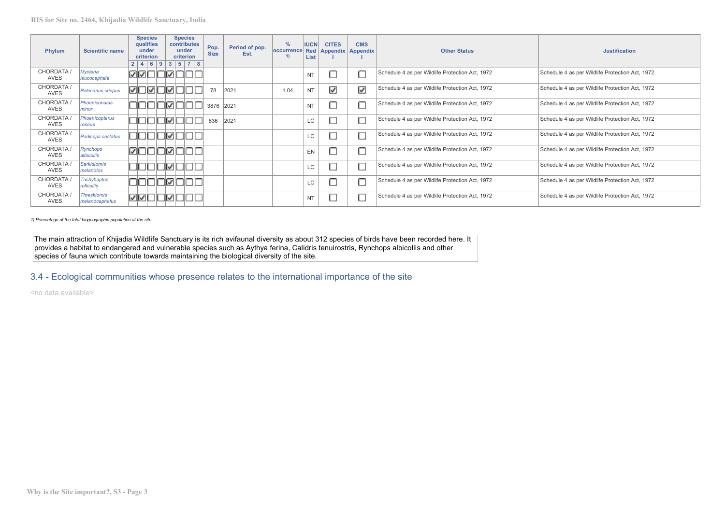| Phylum             | <b>Scientific name</b>               | <b>Species</b><br>qualifies<br>under<br>criterion | <b>Species</b><br>contributes<br>under<br>criterion<br>2   4   6   9   3   5   7   8 | Pop.<br><b>Size</b> | Period of pop.<br>Est. | $\frac{9}{6}$<br>occurrence<br>1) | <b>IUCN</b><br>List | <b>CITES</b><br>Red   Appendix   Appendix | <b>CMS</b> | <b>Other Status</b>                             | <b>Justification</b>                            |
|--------------------|--------------------------------------|---------------------------------------------------|--------------------------------------------------------------------------------------|---------------------|------------------------|-----------------------------------|---------------------|-------------------------------------------|------------|-------------------------------------------------|-------------------------------------------------|
| CHORDATA /<br>AVES | Mycteria<br>leucocephala             | ☑☑□□☑□                                            | INE                                                                                  |                     |                        |                                   | <b>NT</b>           |                                           |            | Schedule 4 as per Wildlife Protection Act, 1972 | Schedule 4 as per Wildlife Protection Act, 1972 |
| CHORDATA /<br>AVES | Pelecanus crispus                    | ☑□☑□☑□                                            |                                                                                      | 78                  | 2021                   | 1.04                              | <b>NT</b>           | ☑                                         | ☑          | Schedule 4 as per Wildlife Protection Act, 1972 | Schedule 4 as per Wildlife Protection Act, 1972 |
| CHORDATA /<br>AVES | Phoeniconaias<br>minor               | OOOOØO                                            |                                                                                      | 3876                | 2021                   |                                   | <b>NT</b>           |                                           |            | Schedule 4 as per Wildlife Protection Act, 1972 | Schedule 4 as per Wildlife Protection Act, 1972 |
| CHORDATA /<br>AVES | Phoenicopterus<br>roseus             |                                                   | □☑□                                                                                  | 836                 | 2021                   |                                   | <b>LC</b>           |                                           |            | Schedule 4 as per Wildlife Protection Act, 1972 | Schedule 4 as per Wildlife Protection Act, 1972 |
| CHORDATA /<br>AVES | Podiceps cristatus                   |                                                   | IVID                                                                                 |                     |                        |                                   | <b>LC</b>           |                                           |            | Schedule 4 as per Wildlife Protection Act, 1972 | Schedule 4 as per Wildlife Protection Act, 1972 |
| CHORDATA /<br>AVES | Rynchops<br>albicollis               | MOOOMO                                            |                                                                                      |                     |                        |                                   | EN                  |                                           |            | Schedule 4 as per Wildlife Protection Act, 1972 | Schedule 4 as per Wildlife Protection Act, 1972 |
| CHORDATA /<br>AVES | <b>Sarkidiornis</b><br>melanotos     | 000000                                            |                                                                                      |                     |                        |                                   | <b>LC</b>           |                                           |            | Schedule 4 as per Wildlife Protection Act, 1972 | Schedule 4 as per Wildlife Protection Act, 1972 |
| CHORDATA /<br>AVES | Tachybaptus<br>ruficollis            |                                                   | IVIL                                                                                 |                     |                        |                                   | <b>LC</b>           |                                           |            | Schedule 4 as per Wildlife Protection Act, 1972 | Schedule 4 as per Wildlife Protection Act, 1972 |
| CHORDATA /<br>AVES | <b>Threskiomis</b><br>melanocephalus | ☑☑□□                                              | □☑□                                                                                  |                     |                        |                                   | <b>NT</b>           |                                           |            | Schedule 4 as per Wildlife Protection Act, 1972 | Schedule 4 as per Wildlife Protection Act, 1972 |

*1) Percentage of the total biogeographic population at the site*

The main attraction of Khijadia Wildlife Sanctuary is its rich avifaunal diversity as about 312 species of birds have been recorded here. It  $\; \; | \;$ provides a habitat to endangered and vulnerable species such as Aythya ferina, Calidris tenuirostris, Rynchops albicollis and other species offauna which contribute towards maintaining the biological diversity of the site.

3.4 - Ecological communities whose presence relates to the international importance of the site

<no data available>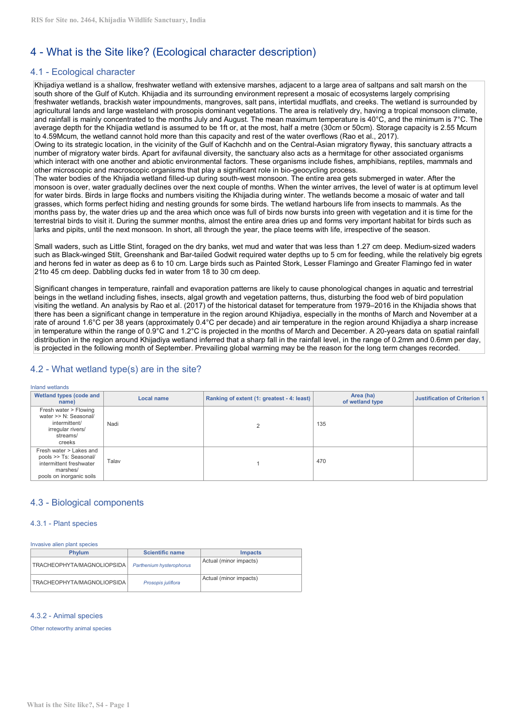# 4 - What is the Site like? (Ecological character description)

# 4.1 - Ecological character

Khijadiya wetland is a shallow, freshwater wetland with extensive marshes, adjacent to a large area of saltpans and salt marsh on the south shore of the Gulf of Kutch. Khijadia and its surrounding environment represent a mosaic of ecosystems largely comprising freshwater wetlands, brackish water impoundments, mangroves, salt pans, intertidal mudflats, and creeks. The wetland is surrounded by agricultural lands and large wasteland with prosopis dominant vegetations. The area is relatively dry, having a tropical monsoon climate, and rainfall is mainly concentrated to the months July and August. The mean maximum temperature is 40°C, and the minimum is 7°C. The average depth for the Khijadia wetland is assumed to be 1ft or, at the most, half a metre (30cm or 50cm). Storage capacity is 2.55 Mcum to 4.59Mcum, the wetland cannot hold more than this capacity and rest of the water overflows (Rao et al., 2017).

Owing to its strategic location, in the vicinity of the Gulf of Kachchh and on the Central-Asian migratory flyway, this sanctuary attracts a number of migratory water birds. Apart for avifaunal diversity, the sanctuary also acts as a hermitage for other associated organisms which interact with one another and abiotic environmental factors. These organisms include fishes, amphibians, reptiles, mammals and other microscopic and macroscopic organisms that play a significant role in bio-geocycling process.

The water bodies ofthe Khijadia wetland filled-up during south-west monsoon. The entire area gets submerged in water. After the monsoon is over, water gradually declines over the next couple of months. When the winter arrives, the level of water is atoptimum level for water birds. Birds in large flocks and numbers visiting the Khijadia during winter. The wetlands become a mosaic of water and tall grasses, which forms perfect hiding and nesting grounds for some birds. The wetland harbours life from insects to mammals. As the months pass by, the water dries up and the area which once was full of birds now bursts into green with vegetation and it is time for the terrestrial birds to visit it. During the summer months, almost the entire area dries up and forms very important habitat for birds such as larks and pipits, until the next monsoon. In short, all through the year, the place teems with life, irrespective of the season.

Small waders, such as Little Stint, foraged on the dry banks, wet mud and water that was less than 1.27 cm deep. Medium-sized waders such as Black-winged Stilt, Greenshank and Bar-tailed Godwit required water depths up to 5 cm for feeding, while the relatively big egrets and herons fed in water as deep as 6 to 10 cm. Large birds such as Painted Stork, Lesser Flamingo and Greater Flamingo fed in water

21to 45 cm deep. Dabbling ducks fed in water from 18 to 30 cm deep.<br>Significant changes in temperature, rainfall and evaporation patterns are likely to cause phonological changes in aquatic and terrestrial beings in the wetland including fishes, insects, algal growth and vegetation patterns, thus, disturbing the food web of bird population visiting the wetland. An analysis by Rao et al. (2017) of the historical dataset for temperature from 1979–2016 in the Khijadia shows that there has been a significant change in temperature in the region around Khijadiya, especially in the months of March and November at a rate of around 1.6°C per 38 years (approximately 0.4°C per decade) and air temperature in the region around Khijadiya a sharp increase in temperature within the range of 0.9°C and 1.2°C is projected in the months of March and December. A 20-years data on spatial rainfall distribution in the region around Khijadiya wetland inferred that a sharp fall in the rainfall level, in the range of 0.2mm and 0.6mm per day, is projected in the following month of September. Prevailing global warming may be the reason for the long term changes recorded.

# 4.2 - What wetland type(s) are in the site?

# Inland wetlands

| <b>Wetland types (code and</b><br>name)                                                                              | Local name | Ranking of extent (1: greatest - 4: least) | Area (ha)<br>of wetland type | <b>Justification of Criterion 1</b> |
|----------------------------------------------------------------------------------------------------------------------|------------|--------------------------------------------|------------------------------|-------------------------------------|
| Fresh water > Flowing<br>water >> N: Seasonal/<br>intermittent/<br>irregular rivers/<br>streams/<br>creeks           | Nadi       |                                            | 135                          |                                     |
| Fresh water > Lakes and<br>pools >> Ts: Seasonal/<br>intermittent freshwater<br>marshes/<br>pools on inorganic soils | Talav      |                                            | 470                          |                                     |

# 4.3 - Biological components

### 4.3.1 - Plant species

Invasive alien plant species

| <b>Phylum</b>                     | <b>Scientific name</b>    | <i>Impacts</i>         |
|-----------------------------------|---------------------------|------------------------|
| <b>TRACHEOPHYTA/MAGNOLIOPSIDA</b> | Parthenium hysterophorus  | Actual (minor impacts) |
| TRACHEOPHYTA/MAGNOLIOPSIDA        | Prosopis <i>iuliflora</i> | Actual (minor impacts) |

# 4.3.2 - Animal species

Other noteworthy animal species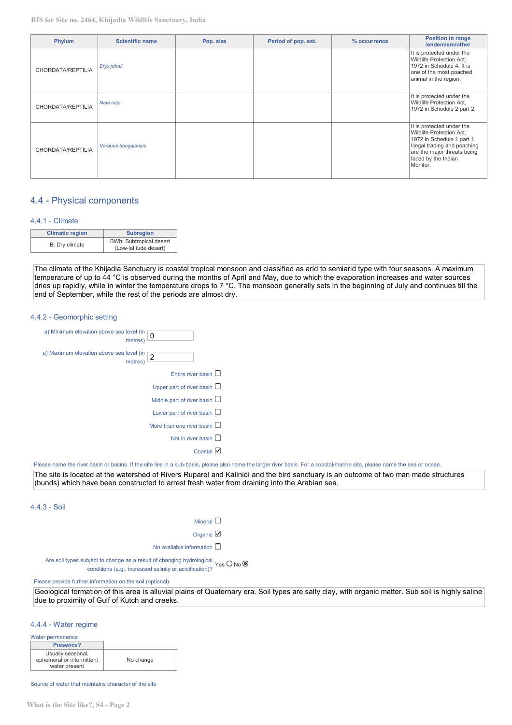**RIS for Site no. 2464, Khijadia Wildlife Sanctuary, India**

| Phylum            | <b>Scientific name</b> | Pop. size | Period of pop. est. | % occurrence | <b>Position in range</b><br>/endemism/other                                                                                                                                           |
|-------------------|------------------------|-----------|---------------------|--------------|---------------------------------------------------------------------------------------------------------------------------------------------------------------------------------------|
| CHORDATA/REPTILIA | Eryx johnii            |           |                     |              | It is protected under the<br>Wildlife Protection Act.<br>1972 in Schedule 4. It is<br>one of the most poached<br>animal in the region.                                                |
| CHORDATA/REPTILIA | Naja naja              |           |                     |              | It is protected under the<br>Wildlife Protection Act,<br>1972 in Schedule 2 part 2.                                                                                                   |
| CHORDATA/REPTILIA | Varanus bengalensis    |           |                     |              | It is protected under the<br>Wildlife Protection Act,<br>1972 in Schedule 1 part 1.<br>Illegal trading and poaching<br>are the major threats being<br>faced by the Indian<br>Monitor. |

# 4.4 - Physical components

## 4.4.1 - Climate

| <b>Climatic region</b> | <b>Subregion</b>                                 |
|------------------------|--------------------------------------------------|
| B: Dry climate         | BWh: Subtropical desert<br>(Low-latitude desert) |

The climate of the Khijadia Sanctuary is coastal tropical monsoon and classified as arid to semiarid type with four seasons. A maximum temperature of up to 44 °C is observed during the months of April and May, due to which the evaporation increases and water sources dries up rapidly, while in winter the temperature drops to 7 °C. The monsoon generally sets in the beginning of July and continues till the end of September, while the rest of the periods are almost dry.

#### 4.4.2 - Geomorphic setting

| a) Minimum elevation above sea level (in<br>0<br>metres) |
|----------------------------------------------------------|
| a) Maximum elevation above sea level (in<br>metres)      |
| Fntire river hasin $\square$                             |
| Upper part of river basin $\Box$                         |
| Middle part of river basin $\square$                     |
| Lower part of river basin $\Box$                         |
| More than one river basin $\square$                      |
| Not in river basin $\square$                             |
| Coastal                                                  |

Please name the river basin or basins. If the site lies in a sub-basin, please also name the larger river basin. For a coastal/marine site, please name the sea or ocean.

The site is located at the watershed of Rivers Ruparel and Kalinidi and the bird sanctuary is an outcome of two man made structures (bunds) which have been constructed to arrest fresh water from draining into the Arabian sea.

## 4.4.3 - Soil

| ١<br>٠ |  |  |
|--------|--|--|

Organic <sup>2</sup>

No available information  $\square$ 

Are soil types subject to change as a result of changing hydrological. **Conditions (e.g., increased salinity or acidification)?** Yes U No

Please provide further information on the soil (optional)

Geological formation of this area is alluvial plains of Quaternary era. Soil types are salty clay, with organic matter. Sub soil is highly saline due to proximity of Gulf of Kutch and creeks.

#### 4.4.4 - Water regime

| Water permanence          |           |
|---------------------------|-----------|
| Presence?                 |           |
| Usually seasonal,         |           |
| ephemeral or intermittent | No change |
| water present             |           |

Source of water that maintains character of the site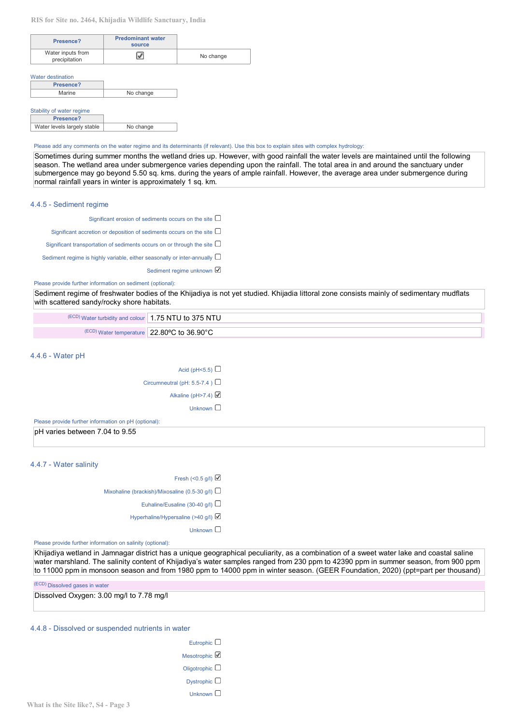| Presence?                          | <b>Predominant water</b><br>source |           |
|------------------------------------|------------------------------------|-----------|
| Water inputs from<br>precipitation |                                    | No change |

Water destination

| Presence? |           |
|-----------|-----------|
| Marine    | No change |
|           |           |

#### Stability of water regime

| Presence?                   |           |
|-----------------------------|-----------|
| Water levels largely stable | No change |

#### Please add any comments on the water regime and its determinants (if relevant). Use this box to explain sites with complex hydrology:

Sometimes during summer months the wetland dries up. However, with good rainfall the water levels are maintained until the following season. The wetland area under submergence varies depending upon the rainfall. The total area in and around the sanctuary under submergence may go beyond 5.50 sq. kms. during the years of ample rainfall. However, the average area under submergence during normal rainfall years in winter is approximately 1 sq. km.

#### 4.4.5 - Sediment regime

| Significant erosion of sediments occurs on the site $\square$                  |
|--------------------------------------------------------------------------------|
| Significant accretion or deposition of sediments occurs on the site $\Box$     |
| Significant transportation of sediments occurs on or through the site $\Box$   |
| Sediment regime is highly variable, either seasonally or inter-annually $\Box$ |
| Sediment regime unknown                                                        |

### Please provide further information on sediment (optional):

Sediment regime of freshwater bodies ofthe Khijadiya is not yet studied. Khijadia littoral zone consists mainly of sedimentary mudflats with scattered sandy/rocky shore habitats.

| (ECD) Water turbidity and colour   1.75 NTU to 375 NTU |                                                            |
|--------------------------------------------------------|------------------------------------------------------------|
|                                                        |                                                            |
|                                                        | $\sqrt{\text{(ECD)}}$ Water temperature 22.80°C to 36.90°C |

### 4.4.6 - Water pH

| Acid (pH<5.5) $\square$            |  |
|------------------------------------|--|
| Circumneutral (pH: 5.5-7.4) $\Box$ |  |
| Alkaline (pH>7.4)                  |  |
| Unknown $\square$                  |  |

Please provide further information on pH (optional):

pH varies between 7.04 to 9.55

# 4.4.7 - Water salinity

Fresh (< $0.5$  g/l)

Mixohaline (brackish)/Mixosaline (0.5-30 g/l)  $\Box$ 

Euhaline/Eusaline (30-40 g/l)

Hyperhaline/Hypersaline (>40 g/l)

Unknown  $\square$ 

Please provide further information on salinity (optional):

Khijadiya wetland in Jamnagar district has a unique geographical peculiarity, as a combination of a sweet water lake and coastal saline water marshland. The salinity content of Khijadiya's water samples ranged from 230 ppm to 42390 ppm in summer season, from 900 ppm to 11000 ppm in monsoon season and from 1980 ppm to 14000 ppm in winter season. (GEER Foundation, 2020) (ppt=part per thousand)

(ECD) Dissolved gases in water

Dissolved Oxygen: 3.00 mg/l to 7.78 mg/l

# 4.4.8 - Dissolved or suspended nutrients in water

| Eutrophic $\square$    |
|------------------------|
| Mesotrophic LA         |
| Oligotrophic $\square$ |
| Dystrophic $\square$   |
| Unknown                |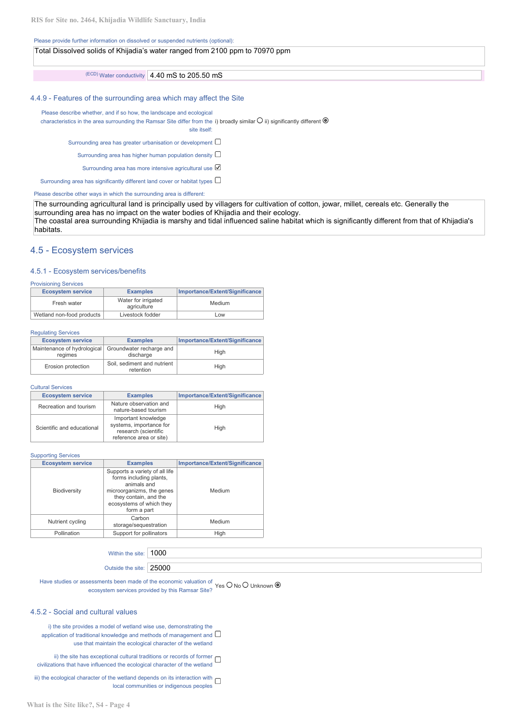#### Please provide further information on dissolved or suspended nutrients (optional):

| Total Dissolved solids of Khijadia's water ranged from 2100 ppm to 70970 ppm |  |
|------------------------------------------------------------------------------|--|
| $\sqrt{\text{(ECD)}}$ Water conductivity 4.40 mS to 205.50 mS                |  |

## 4.4.9 - Features of the surrounding area which may affect the Site

Please describe whether, and if so how, the landscape and ecological

characteristics in the area surrounding the Ramsar Site differ from the i) broadly similar  $\cup$  ii) significantly different  $\bullet$ 

site itself:

Surrounding area has greater urbanisation or development  $\square$ 

Surrounding area has higher human population density  $\square$ 

Surrounding area has more intensive agricultural use  $\boxtimes$ 

Surrounding area has significantly different land cover or habitat types  $\Box$ 

Please describe other ways in which the surrounding area is different:

The surrounding agricultural land is principally used by villagers for cultivation of cotton, jowar, millet, cereals etc. Generally the surrounding area has no impact on the water bodies of Khijadia and their ecology.

The coastal area surrounding Khijadia is marshy and tidal influenced saline habitat which is significantly different from that of Khijadia's habitats.

## 4.5 - Ecosystem services

## 4.5.1 - Ecosystem services/benefits

#### Provisioning Services

| <b>Ecosystem service</b>  | <b>Examples</b>                    | Importance/Extent/Significance |
|---------------------------|------------------------------------|--------------------------------|
| Fresh water               | Water for irrigated<br>agriculture | Medium                         |
| Wetland non-food products | Livestock fodder                   | Low                            |

#### Regulating Services

| <b>Ecosystem service</b>                                        | <b>Examples</b>                          | Importance/Extent/Significance |
|-----------------------------------------------------------------|------------------------------------------|--------------------------------|
| Maintenance of hydrological Groundwater recharge and<br>reaimes | discharge                                | High                           |
| Erosion protection                                              | Soil, sediment and nutrient<br>retention | Hiah                           |

#### Cultural Services

|                        | <b>Ecosystem service</b><br><b>Examples</b>                                                                                     |                                                | Importance/Extent/Significance |  |
|------------------------|---------------------------------------------------------------------------------------------------------------------------------|------------------------------------------------|--------------------------------|--|
| Recreation and tourism |                                                                                                                                 | Nature observation and<br>nature-based tourism | High                           |  |
|                        | Important knowledge<br>systems, importance for<br>Scientific and educational<br>research (scientific<br>reference area or site) |                                                | High                           |  |

Supporting Services

| <b>Ecosystem service</b><br><b>Examples</b>                                                                                                                                               |                                 | Importance/Extent/Significance |  |
|-------------------------------------------------------------------------------------------------------------------------------------------------------------------------------------------|---------------------------------|--------------------------------|--|
| Supports a variety of all life<br>forms including plants,<br>animals and<br>microorganizms, the genes<br>Biodiversity<br>they contain, and the<br>ecosystems of which they<br>form a part |                                 | Medium                         |  |
| Nutrient cycling                                                                                                                                                                          | Carbon<br>storage/sequestration | Medium                         |  |
| Pollination                                                                                                                                                                               | Support for pollinators         | High                           |  |

Within the site: 1000

Outside the site: 25000

Have studies or assessments been made of the economic valuation of  $\cdot$ ecosystem services provided by this Ramsar Site?<br>
Yes U No U Unknown O

## 4.5.2 - Social and cultural values

i) the site provides a model of wetland wise use, demonstrating the application of traditional knowledge and methods of management and  $\square$ use that maintain the ecological character of the wetland

ii) the site has exceptional cultural traditions or records of former  $\Box$ civilizations that have influenced the ecological character of the wetland

iii) the ecological character of the wetland depends on its interaction with  $\Box$ local communities or indigenous peoples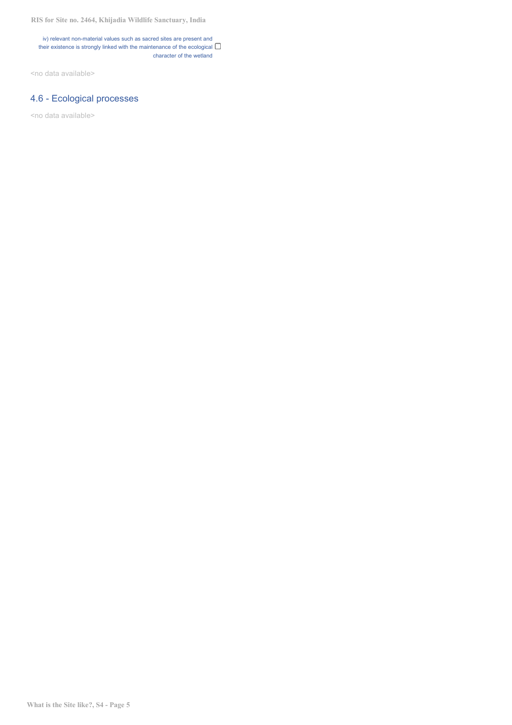iv) relevant non-material values such as sacred sites are present and their existence is strongly linked with the maintenance of the ecological  $\Box$ character of the wetland

<no data available>

# 4.6 - Ecological processes

<no data available>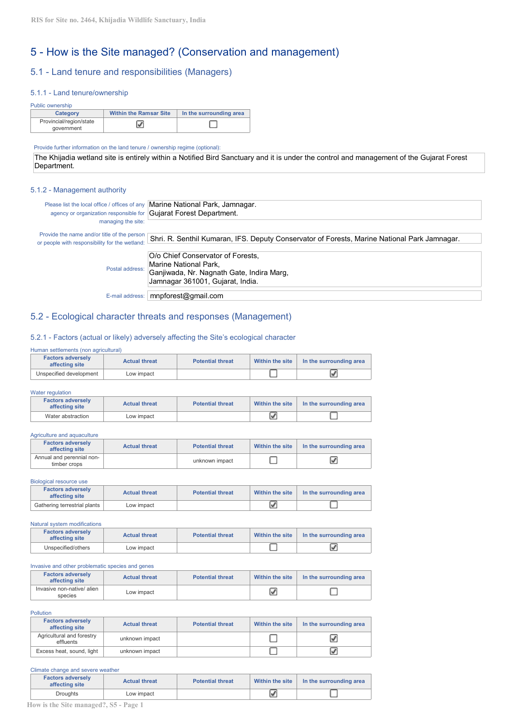# 5 - How is the Site managed? (Conservation and management)

# 5.1 - Land tenure and responsibilities (Managers)

## 5.1.1 - Land tenure/ownership

| Public ownership                      |                               |                         |
|---------------------------------------|-------------------------------|-------------------------|
| Category                              | <b>Within the Ramsar Site</b> | In the surrounding area |
| Provincial/region/state<br>aovernment |                               |                         |

Provide further information on the land tenure / ownership regime (optional):

The Khijadia wetland site is entirely within a Notified Bird Sanctuary and it is under the control and management of the Gujarat Forest Department.

#### 5.1.2 - Management authority

| agency or organization responsible for Gujarat Forest Department.                                                   | Please list the local office / offices of any Marine National Park, Jamnagar.                |
|---------------------------------------------------------------------------------------------------------------------|----------------------------------------------------------------------------------------------|
| managing the site:<br>Provide the name and/or title of the person<br>or people with responsibility for the wetland: | Shri. R. Senthil Kumaran, IFS. Deputy Conservator of Forests, Marine National Park Jamnagar. |
| Postal address:                                                                                                     | O/o Chief Conservator of Forests.<br>Marine National Park,                                   |
|                                                                                                                     | Ganjiwada, Nr. Nagnath Gate, Indira Marg,<br>Jamnagar 361001, Gujarat, India.                |
| E-mail address:                                                                                                     | mnpforest@gmail.com                                                                          |

# 5.2 - Ecological character threats and responses (Management)

# 5.2.1 - Factors (actual or likely) adversely affecting the Site's ecological character

| Human settlements (non agricultural)       |                      |                         |                 |                         |
|--------------------------------------------|----------------------|-------------------------|-----------------|-------------------------|
| <b>Factors adversely</b><br>affecting site | <b>Actual threat</b> | <b>Potential threat</b> | Within the site | In the surrounding area |
| Unspecified development                    | Low impact           |                         |                 |                         |

| Water regulation                           |                      |                         |                 |                         |
|--------------------------------------------|----------------------|-------------------------|-----------------|-------------------------|
| <b>Factors adversely</b><br>affecting site | <b>Actual threat</b> | <b>Potential threat</b> | Within the site | In the surrounding area |
| Water abstraction                          | Low impact           |                         |                 |                         |

#### Agriculture and aquaculture

| <b>Factors adversely</b><br>affecting site | <b>Actual threat</b> | <b>Potential threat</b> | Within the site | In the surrounding area |
|--------------------------------------------|----------------------|-------------------------|-----------------|-------------------------|
| Annual and perennial non-<br>timber crops  |                      | unknown impact          |                 |                         |

#### Biological resource use

| <b>Factors adversely</b><br>affecting site | <b>Actual threat</b> | <b>Potential threat</b> | Within the site | In the surrounding area |
|--------------------------------------------|----------------------|-------------------------|-----------------|-------------------------|
| Gathering terrestrial plants               | Low impact           |                         |                 |                         |

| Natural system modifications               |                      |                         |                 |                         |
|--------------------------------------------|----------------------|-------------------------|-----------------|-------------------------|
| <b>Factors adverselv</b><br>affecting site | <b>Actual threat</b> | <b>Potential threat</b> | Within the site | In the surrounding area |
| Unspecified/others                         | Low impact           |                         |                 |                         |

#### Invasive and other problematic species and genes

| <b>Factors adversely</b><br>affecting site | <b>Actual threat</b> | <b>Potential threat</b> | Within the site | In the surrounding area |
|--------------------------------------------|----------------------|-------------------------|-----------------|-------------------------|
| Invasive non-native/alien<br>species       | Low impact           |                         |                 |                         |

#### Pollution

| <b>Factors adversely</b><br>affecting site | <b>Actual threat</b> | <b>Potential threat</b> | Within the site | In the surrounding area |
|--------------------------------------------|----------------------|-------------------------|-----------------|-------------------------|
| Agricultural and forestry<br>effluents     | unknown impact       |                         |                 |                         |
| Excess heat, sound, light                  | unknown impact       |                         |                 |                         |

#### Climate change and severe weather

| <b>Factors adversely</b><br>affecting site | <b>Actual threat</b> | <b>Potential threat</b> | Within the site | In the surrounding area |
|--------------------------------------------|----------------------|-------------------------|-----------------|-------------------------|
| <b>Droughts</b>                            | Low impact           |                         | V               |                         |
| How is the Site managed?, S5 - Page 1      |                      |                         |                 |                         |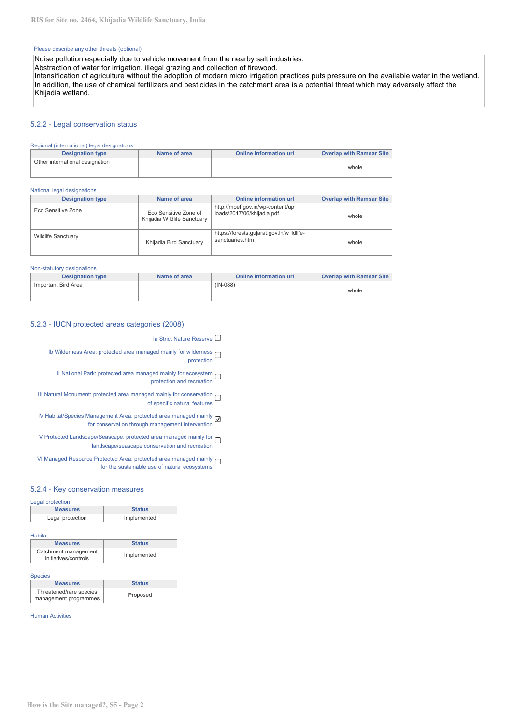#### Please describe any other threats (optional):

Noise pollution especially due to vehicle movement from the nearby salt industries.

Abstraction of water for irrigation, illegal grazing and collection of firewood.

Intensification of agriculture without the adoption of modern micro irrigation practices puts pressure on the available water in the wetland. In addition, the use of chemical fertilizers and pesticides in the catchment area is a potential threat which may adversely affect the Khijadia wetland.

## 5.2.2 - Legal conservation status

#### Regional (international) legal designations

| <b>Designation type</b>         | Name of area | Online information url | <b>Overlap with Ramsar Site</b> |
|---------------------------------|--------------|------------------------|---------------------------------|
| Other international designation |              |                        |                                 |
|                                 |              |                        | whole                           |
|                                 |              |                        |                                 |

#### National legal designations

| <b>Designation type</b>   | Name of area                                         | <b>Online information url</b>                                  | <b>Overlap with Ramsar Site</b> |
|---------------------------|------------------------------------------------------|----------------------------------------------------------------|---------------------------------|
| Eco Sensitive Zone        | Eco Sensitive Zone of<br>Khijadia Wildlife Sanctuary | http://moef.gov.in/wp-content/up<br>loads/2017/06/khijadia.pdf | whole                           |
| <b>Wildlife Sanctuary</b> | Khijadia Bird Sanctuary                              | https://forests.qujarat.gov.in/w ildlife-<br>sanctuaries.htm   | whole                           |

#### Non-statutory designations

| <b>Designation type</b> | Name of area | Online information url | <b>Overlap with Ramsar Site</b> |
|-------------------------|--------------|------------------------|---------------------------------|
| Important Bird Area     |              | $(IN-088)$             | whole                           |

# 5.2.3 - IUCN protected areas categories (2008)

- Ia Strict Nature Reserve □
- Ib Wilderness Area: protected area managed mainly for wilderness  $\square$ protection
	- II National Park: protected area managed mainly for ecosystem  $\square$ protection and recreation
- III Natural Monument: protected area managed mainly for conservation of specific natural features
- IV Habitat/Species Management Area: protected area managed mainly for conservation through management intervention
- V Protected Landscape/Seascape: protected area managed mainly for landscape/seascape conservation and recreation
- VI Managed Resource Protected Area: protected area managed mainly for the sustainable use of natural ecosystems

## 5.2.4 - Key conservation measures

#### Legal protection

| <b>Measures</b>  | <b>Status</b> |
|------------------|---------------|
| Legal protection | Implemented   |

#### **Habitat**

| <b>Measures</b>                              | <b>Status</b> |
|----------------------------------------------|---------------|
| Catchment management<br>initiatives/controls | Implemented   |

#### **Species**

| <b>Measures</b>         | <b>Status</b> |
|-------------------------|---------------|
| Threatened/rare species | Proposed      |
| management programmes   |               |

Human Activities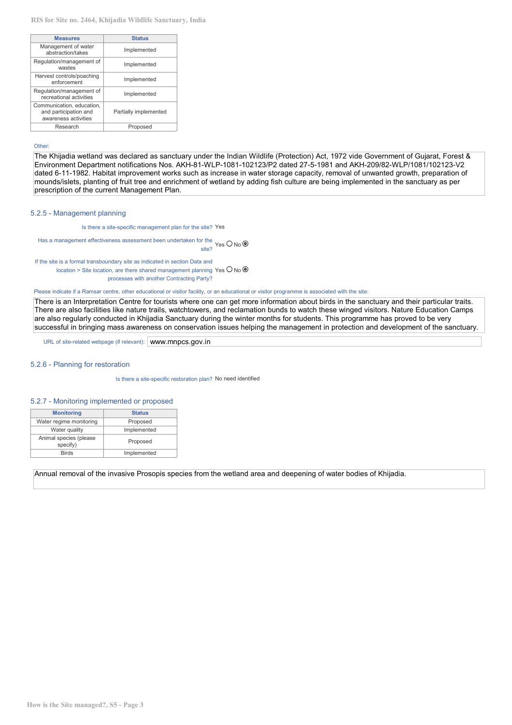| <b>Status</b>         | <b>Measures</b>                                                            |
|-----------------------|----------------------------------------------------------------------------|
| Implemented           | Management of water<br>abstraction/takes                                   |
| Implemented           | Regulation/management of<br>wastes                                         |
| Implemented           | Harvest controls/poaching<br>enforcement                                   |
| Implemented           | Regulation/management of<br>recreational activities                        |
| Partially implemented | Communication, education,<br>and participation and<br>awareness activities |
| Proposed              | Research                                                                   |
|                       |                                                                            |

#### Other:

The Khijadia wetland was declared as sanctuary under the Indian Wildlife (Protection) Act, 1972 vide Government of Gujarat, Forest & Environment Department notifications Nos. AKH-81-WLP-1081-102123/P2 dated 27-5-1981 and AKH-209/82-WLP/1081/102123-V2 dated 6-11-1982. Habitat improvement works such as increase in water storage capacity, removal of unwanted growth, preparation of mounds/islets, planting of fruit tree and enrichment of wetland by adding fish culture are being implemented in the sanctuary as per prescription of the current Management Plan.

#### 5.2.5 - Management planning

Is there a site-specific management plan for the site? Yes

Has a management effectiveness assessment been undertaken for the site? Yes O No  $\circledcirc$ 

If the site is a formal transboundary site as indicated in section Data and location > Site location, are there shared management planning Yes  $\bigcup$  No  $\bigcirc$ processes with another Contracting Party?

Please indicate if a Ramsar centre, other educational or visitor facility, or an educational or visitor programme is associated with the site:

There is an Interpretation Centre for tourists where one can get more information about birds in the sanctuary and their particular traits. There are also facilities like nature trails, watchtowers, and reclamation bunds to watch these winged visitors. Nature Education Camps are also regularly conducted in Khijadia Sanctuary during the winter months for students. This programme has proved to be very successful in bringing mass awareness on conservation issues helping the management in protection and development of the sanctuary.

URL of site-related webpage (if relevant): www.mnpcs.gov.in

#### 5.2.6 - Planning for restoration

Is there a site-specific restoration plan? No need identified

#### 5.2.7 - Monitoring implemented or proposed

| <b>Monitoring</b>                  | <b>Status</b> |
|------------------------------------|---------------|
| Water regime monitoring            | Proposed      |
| Water quality                      | Implemented   |
| Animal species (please<br>specify) | Proposed      |
| <b>Birds</b>                       | Implemented   |

Annual removal of the invasive Prosopis species from the wetland area and deepening of water bodies of Khijadia.